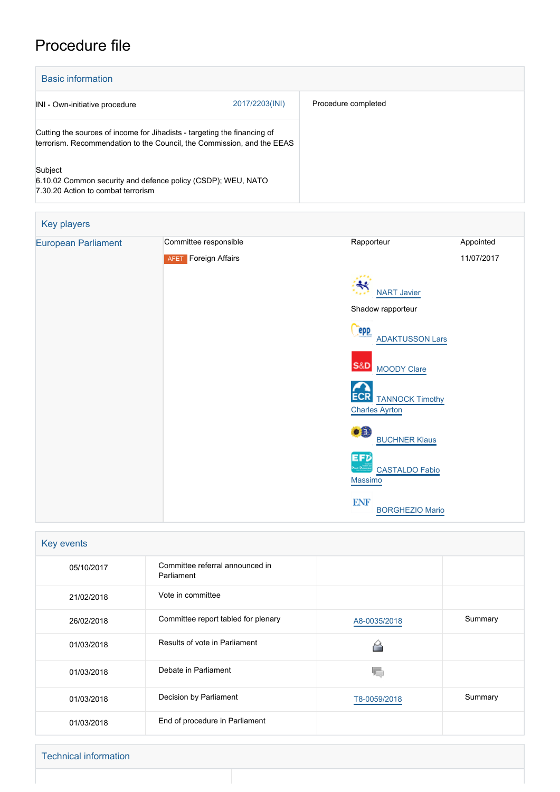## Procedure file

| <b>Basic information</b>                                                                                                                           |                |                     |  |
|----------------------------------------------------------------------------------------------------------------------------------------------------|----------------|---------------------|--|
| INI - Own-initiative procedure                                                                                                                     | 2017/2203(INI) | Procedure completed |  |
| Cutting the sources of income for Jihadists - targeting the financing of<br>terrorism. Recommendation to the Council, the Commission, and the EEAS |                |                     |  |
| Subject<br>6.10.02 Common security and defence policy (CSDP); WEU, NATO<br>7.30.20 Action to combat terrorism                                      |                |                     |  |

| Key players                |                             |                                                                   |            |
|----------------------------|-----------------------------|-------------------------------------------------------------------|------------|
| <b>European Parliament</b> | Committee responsible       | Rapporteur                                                        | Appointed  |
|                            | <b>AFET</b> Foreign Affairs |                                                                   | 11/07/2017 |
|                            |                             | <b>NART Javier</b>                                                |            |
|                            |                             | Shadow rapporteur                                                 |            |
|                            |                             | epp<br><b>ADAKTUSSON Lars</b>                                     |            |
|                            |                             | <b>S&amp;D</b><br><b>MOODY Clare</b>                              |            |
|                            |                             | <b>ECR</b><br><b>TANNOCK Timothy</b><br><b>Charles Ayrton</b>     |            |
|                            |                             | $\bullet$ <sup><math>\bullet</math></sup><br><b>BUCHNER Klaus</b> |            |
|                            |                             | <b>EFD</b><br><b>CASTALDO Fabio</b><br>Massimo                    |            |
|                            |                             | <b>ENF</b><br><b>BORGHEZIO Mario</b>                              |            |

| Key events |                                               |              |         |  |
|------------|-----------------------------------------------|--------------|---------|--|
| 05/10/2017 | Committee referral announced in<br>Parliament |              |         |  |
| 21/02/2018 | Vote in committee                             |              |         |  |
| 26/02/2018 | Committee report tabled for plenary           | A8-0035/2018 | Summary |  |
| 01/03/2018 | Results of vote in Parliament                 |              |         |  |
| 01/03/2018 | Debate in Parliament                          |              |         |  |
| 01/03/2018 | Decision by Parliament                        | T8-0059/2018 | Summary |  |
| 01/03/2018 | End of procedure in Parliament                |              |         |  |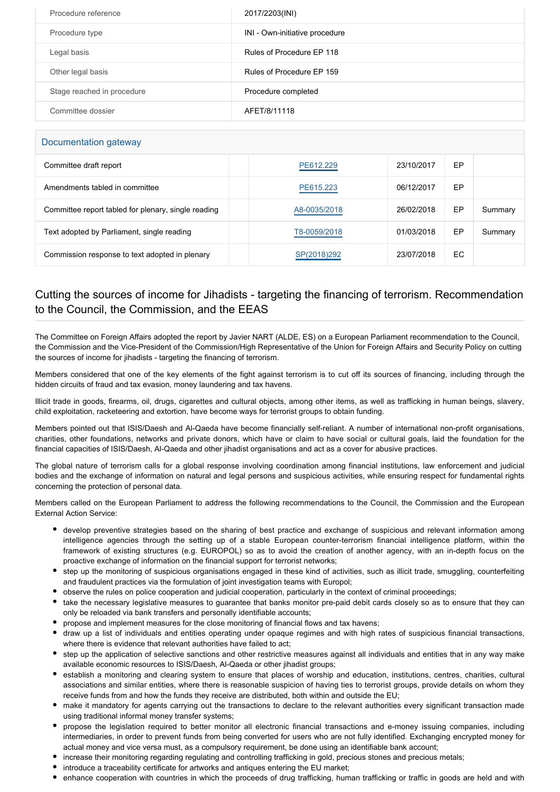| Procedure reference        | 2017/2203(INI)                 |
|----------------------------|--------------------------------|
| Procedure type             | INI - Own-initiative procedure |
| Legal basis                | Rules of Procedure EP 118      |
| Other legal basis          | Rules of Procedure FP 159      |
| Stage reached in procedure | Procedure completed            |
| Committee dossier          | AFET/8/11118                   |

## Documentation gateway

| Committee draft report                              | PE612.229    | 23/10/2017 | EP |         |  |
|-----------------------------------------------------|--------------|------------|----|---------|--|
| Amendments tabled in committee                      | PE615.223    | 06/12/2017 | EP |         |  |
| Committee report tabled for plenary, single reading | A8-0035/2018 | 26/02/2018 | EP | Summary |  |
| Text adopted by Parliament, single reading          | T8-0059/2018 | 01/03/2018 | EP | Summary |  |
| Commission response to text adopted in plenary      | SP(2018)292  | 23/07/2018 | EC |         |  |

## Cutting the sources of income for Jihadists - targeting the financing of terrorism. Recommendation to the Council, the Commission, and the EEAS

The Committee on Foreign Affairs adopted the report by Javier NART (ALDE, ES) on a European Parliament recommendation to the Council, the Commission and the Vice-President of the Commission/High Representative of the Union for Foreign Affairs and Security Policy on cutting the sources of income for jihadists - targeting the financing of terrorism.

Members considered that one of the key elements of the fight against terrorism is to cut off its sources of financing, including through the hidden circuits of fraud and tax evasion, money laundering and tax havens.

Illicit trade in goods, firearms, oil, drugs, cigarettes and cultural objects, among other items, as well as trafficking in human beings, slavery, child exploitation, racketeering and extortion, have become ways for terrorist groups to obtain funding.

Members pointed out that ISIS/Daesh and Al-Qaeda have become financially self-reliant. A number of international non-profit organisations, charities, other foundations, networks and private donors, which have or claim to have social or cultural goals, laid the foundation for the financial capacities of ISIS/Daesh, Al-Qaeda and other jihadist organisations and act as a cover for abusive practices.

The global nature of terrorism calls for a global response involving coordination among financial institutions, law enforcement and judicial bodies and the exchange of information on natural and legal persons and suspicious activities, while ensuring respect for fundamental rights concerning the protection of personal data.

Members called on the European Parliament to address the following recommendations to the Council, the Commission and the European External Action Service:

- develop preventive strategies based on the sharing of best practice and exchange of suspicious and relevant information among intelligence agencies through the setting up of a stable European counter-terrorism financial intelligence platform, within the framework of existing structures (e.g. EUROPOL) so as to avoid the creation of another agency, with an in-depth focus on the proactive exchange of information on the financial support for terrorist networks;
- step up the monitoring of suspicious organisations engaged in these kind of activities, such as illicit trade, smuggling, counterfeiting and fraudulent practices via the formulation of joint investigation teams with Europol;
- observe the rules on police cooperation and judicial cooperation, particularly in the context of criminal proceedings;
- take the necessary legislative measures to guarantee that banks monitor pre-paid debit cards closely so as to ensure that they can only be reloaded via bank transfers and personally identifiable accounts;
- propose and implement measures for the close monitoring of financial flows and tax havens;
- draw up a list of individuals and entities operating under opaque regimes and with high rates of suspicious financial transactions, where there is evidence that relevant authorities have failed to act;
- step up the application of selective sanctions and other restrictive measures against all individuals and entities that in any way make available economic resources to ISIS/Daesh, Al-Qaeda or other jihadist groups;
- establish a monitoring and clearing system to ensure that places of worship and education, institutions, centres, charities, cultural associations and similar entities, where there is reasonable suspicion of having ties to terrorist groups, provide details on whom they receive funds from and how the funds they receive are distributed, both within and outside the EU;
- make it mandatory for agents carrying out the transactions to declare to the relevant authorities every significant transaction made using traditional informal money transfer systems;
- propose the legislation required to better monitor all electronic financial transactions and e-money issuing companies, including intermediaries, in order to prevent funds from being converted for users who are not fully identified. Exchanging encrypted money for actual money and vice versa must, as a compulsory requirement, be done using an identifiable bank account;
- increase their monitoring regarding regulating and controlling trafficking in gold, precious stones and precious metals;
- introduce a traceability certificate for artworks and antiques entering the EU market;
- enhance cooperation with countries in which the proceeds of drug trafficking, human trafficking or traffic in goods are held and with